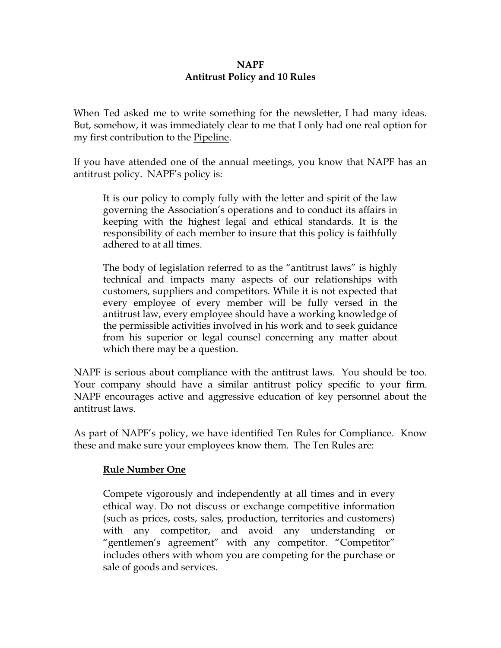# **NAPF Antitrust Policy and 10 Rules**

When Ted asked me to write something for the newsletter, I had many ideas. But, somehow, it was immediately clear to me that I only had one real option for my first contribution to the Pipeline.

If you have attended one of the annual meetings, you know that NAPF has an antitrust policy. NAPF's policy is:

It is our policy to comply fully with the letter and spirit of the law governing the Association's operations and to conduct its affairs in keeping with the highest legal and ethical standards. It is the responsibility of each member to insure that this policy is faithfully adhered to at all times.

The body of legislation referred to as the "antitrust laws" is highly technical and impacts many aspects of our relationships with customers, suppliers and competitors. While it is not expected that every employee of every member will be fully versed in the antitrust law, every employee should have a working knowledge of the permissible activities involved in his work and to seek guidance from his superior or legal counsel concerning any matter about which there may be a question.

NAPF is serious about compliance with the antitrust laws. You should be too. Your company should have a similar antitrust policy specific to your firm. NAPF encourages active and aggressive education of key personnel about the antitrust laws.

As part of NAPF's policy, we have identified Ten Rules for Compliance. Know these and make sure your employees know them. The Ten Rules are:

# **Rule Number One**

Compete vigorously and independently at all times and in every ethical way. Do not discuss or exchange competitive information (such as prices, costs, sales, production, territories and customers) with any competitor, and avoid any understanding or "gentlemen's agreement" with any competitor. "Competitor" includes others with whom you are competing for the purchase or sale of goods and services.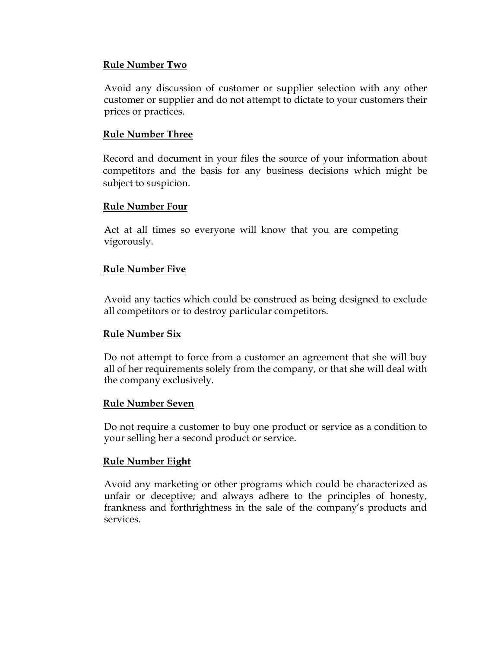#### **Rule Number Two**

Avoid any discussion of customer or supplier selection with any other customer or supplier and do not attempt to dictate to your customers their prices or practices.

#### **Rule Number Three**

Record and document in your files the source of your information about competitors and the basis for any business decisions which might be subject to suspicion.

#### **Rule Number Four**

Act at all times so everyone will know that you are competing vigorously.

# **Rule Number Five**

Avoid any tactics which could be construed as being designed to exclude all competitors or to destroy particular competitors.

# **Rule Number Six**

Do not attempt to force from a customer an agreement that she will buy all of her requirements solely from the company, or that she will deal with the company exclusively.

#### **Rule Number Seven**

Do not require a customer to buy one product or service as a condition to your selling her a second product or service.

# **Rule Number Eight**

Avoid any marketing or other programs which could be characterized as unfair or deceptive; and always adhere to the principles of honesty, frankness and forthrightness in the sale of the company's products and services.